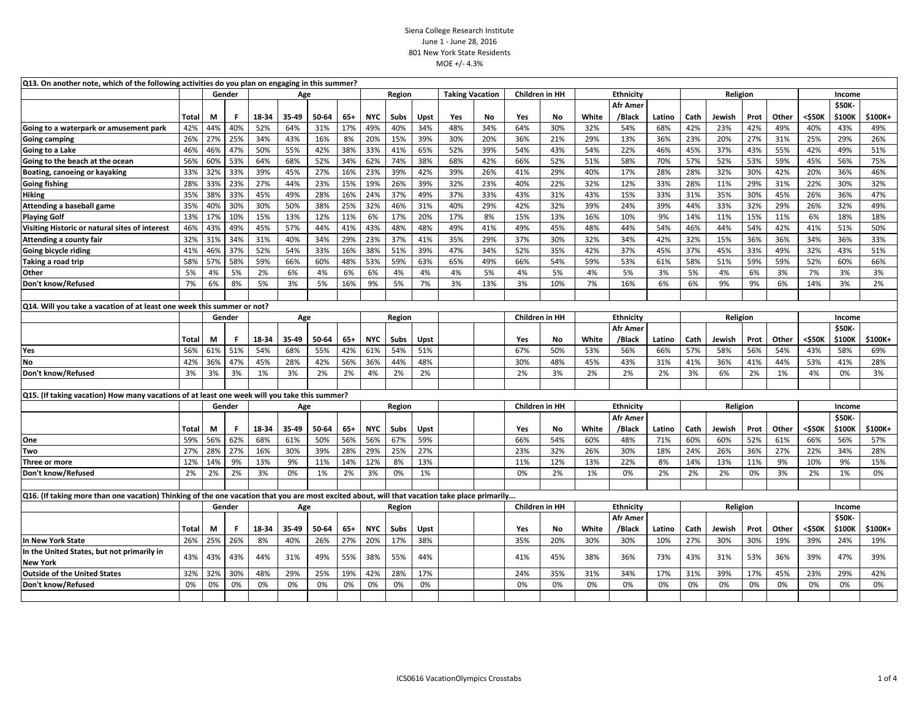## Siena College Research Institute June 1 - June 28, 2016 801 New York State Residents MOE +/- 4.3%

| Q13. On another note, which of the following activities do you plan on engaging in this summer?                                               |                                                                                              |     |               |       |       |        |        |            |        |                        |                                    |                       |                                    |                  |       |                 |          |      |          |      |        |        |               |         |  |
|-----------------------------------------------------------------------------------------------------------------------------------------------|----------------------------------------------------------------------------------------------|-----|---------------|-------|-------|--------|--------|------------|--------|------------------------|------------------------------------|-----------------------|------------------------------------|------------------|-------|-----------------|----------|------|----------|------|--------|--------|---------------|---------|--|
|                                                                                                                                               |                                                                                              |     | Gender        | Age   |       |        | Region |            |        | <b>Taking Vacation</b> |                                    | <b>Children in HH</b> |                                    | <b>Ethnicity</b> |       |                 | Religion |      |          |      | Income |        |               |         |  |
|                                                                                                                                               |                                                                                              |     |               |       |       |        |        |            |        |                        |                                    |                       |                                    |                  |       | Afr Amer        |          |      |          |      |        |        | \$50K-        |         |  |
|                                                                                                                                               | Total                                                                                        | M   | F.            | 18-34 | 35-49 | 50-64  | $65+$  | <b>NYC</b> | Subs   | Upst                   | Yes                                | No.                   | Yes                                | No.              | White | /Black          | Latino   | Cath | Jewish   | Prot | Other  | <\$50K | \$100K        | \$100K+ |  |
| Going to a waterpark or amusement park                                                                                                        | 42%                                                                                          | 44% | 40%           | 52%   | 64%   | 31%    | 17%    | 49%        | 40%    | 34%                    | 48%                                | 34%                   | 64%                                | 30%              | 32%   | 54%             | 68%      | 42%  | 23%      | 42%  | 49%    | 40%    | 43%           | 49%     |  |
| <b>Going camping</b>                                                                                                                          | 26%                                                                                          | 27% | 25%           | 34%   | 43%   | 16%    | 8%     | 20%        | 15%    | 39%                    | 30%                                | 20%                   | 36%                                | 21%              | 29%   | 13%             | 36%      | 23%  | 20%      | 27%  | 31%    | 25%    | 29%           | 26%     |  |
| Going to a Lake                                                                                                                               | 46%                                                                                          | 46% | 47%           | 50%   | 55%   | 42%    | 38%    | 33%        | 41%    | 65%                    | 52%                                | 39%                   | 54%                                | 43%              | 54%   | 22%             | 46%      | 45%  | 37%      | 43%  | 55%    | 42%    | 49%           | 51%     |  |
| Going to the beach at the ocean                                                                                                               | 56%                                                                                          | 60% | 53%           | 64%   | 68%   | 52%    | 34%    | 62%        | 74%    | 38%                    | 68%                                | 42%                   | 66%                                | 52%              | 51%   | 58%             | 70%      | 57%  | 52%      | 53%  | 59%    | 45%    | 56%           | 75%     |  |
| Boating, canoeing or kayaking                                                                                                                 | 33%                                                                                          | 32% | 33%           | 39%   | 45%   | 27%    | 16%    | 23%        | 39%    | 42%                    | 39%                                | 26%                   | 41%                                | 29%              | 40%   | 17%             | 28%      | 28%  | 32%      | 30%  | 42%    | 20%    | 36%           | 46%     |  |
| Going fishing                                                                                                                                 | 28%                                                                                          | 33% | 23%           | 27%   | 44%   | 23%    | 15%    | 19%        | 26%    | 39%                    | 32%                                | 23%                   | 40%                                | 22%              | 32%   | 12%             | 33%      | 28%  | 11%      | 29%  | 31%    | 22%    | 30%           | 32%     |  |
| <b>Hiking</b>                                                                                                                                 | 35%                                                                                          | 38% | 33%           | 45%   | 49%   | 28%    | 16%    | 24%        | 37%    | 49%                    | 37%                                | 33%                   | 43%                                | 31%              | 43%   | 15%             | 33%      | 31%  | 35%      | 30%  | 45%    | 26%    | 36%           | 47%     |  |
| Attending a baseball game                                                                                                                     | 35%                                                                                          | 40% | 30%           | 30%   | 50%   | 38%    | 25%    | 32%        | 46%    | 31%                    | 40%                                | 29%                   | 42%                                | 32%              | 39%   | 24%             | 39%      | 44%  | 33%      | 32%  | 29%    | 26%    | 32%           | 49%     |  |
| <b>Playing Golf</b>                                                                                                                           | 13%                                                                                          | 17% | 10%           | 15%   | 13%   | 12%    | 11%    | 6%         | 17%    | 20%                    | 17%                                | 8%                    | 15%                                | 13%              | 16%   | 10%             | 9%       | 14%  | 11%      | 15%  | 11%    | 6%     | 18%           | 18%     |  |
| Visiting Historic or natural sites of interest                                                                                                | 46%                                                                                          | 43% | 49%           | 45%   | 57%   | 44%    | 41%    | 43%        | 48%    | 48%                    | 49%                                | 41%                   | 49%                                | 45%              | 48%   | 44%             | 54%      | 46%  | 44%      | 54%  | 42%    | 41%    | 51%           | 50%     |  |
| Attending a county fair                                                                                                                       | 32%                                                                                          | 31% | 34%           | 31%   | 40%   | 34%    | 29%    | 23%        | 37%    | 41%                    | 35%                                | 29%                   | 37%                                | 30%              | 32%   | 34%             | 42%      | 32%  | 15%      | 36%  | 36%    | 34%    | 36%           | 33%     |  |
| Going bicycle riding                                                                                                                          | 41%                                                                                          | 46% | 37%           | 52%   | 54%   | 33%    | 16%    | 38%        | 51%    | 39%                    | 47%                                | 34%                   | 52%                                | 35%              | 42%   | 37%             | 45%      | 37%  | 45%      | 33%  | 49%    | 32%    | 43%           | 51%     |  |
| Taking a road trip                                                                                                                            | 58%                                                                                          | 57% | 58%           | 59%   | 66%   | 60%    | 48%    | 53%        | 59%    | 63%                    | 65%                                | 49%                   | 66%                                | 54%              | 59%   | 53%             | 61%      | 58%  | 51%      | 59%  | 59%    | 52%    | 60%           | 66%     |  |
| Other                                                                                                                                         | 5%                                                                                           | 4%  | 5%            | 2%    | 6%    | 4%     | 6%     | 6%         | 4%     | 4%                     | 4%                                 | 5%                    | 4%                                 | 5%               | 4%    | 5%              | 3%       | 5%   | 4%       | 6%   | 3%     | 7%     | 3%            | 3%      |  |
| Don't know/Refused                                                                                                                            | 7%                                                                                           | 6%  | 8%            | 5%    | 3%    | 5%     | 16%    | 9%         | 5%     | 7%                     | 3%                                 | 13%                   | 3%                                 | 10%              | 7%    | 16%             | 6%       | 6%   | 9%       | 9%   | 6%     | 14%    | 3%            | 2%      |  |
|                                                                                                                                               |                                                                                              |     |               |       |       |        |        |            |        |                        |                                    |                       |                                    |                  |       |                 |          |      |          |      |        |        |               |         |  |
| Q14. Will you take a vacation of at least one week this summer or not?                                                                        |                                                                                              |     |               |       |       |        |        |            |        |                        |                                    |                       |                                    |                  |       |                 |          |      |          |      |        |        |               |         |  |
|                                                                                                                                               |                                                                                              |     | Gender<br>Age |       |       | Region |        |            |        |                        | Children in HH<br><b>Ethnicity</b> |                       |                                    |                  |       |                 | Religion |      | Income   |      |        |        |               |         |  |
|                                                                                                                                               |                                                                                              |     |               |       |       |        |        |            |        |                        |                                    |                       |                                    |                  |       | Afr Amer        |          |      |          |      |        |        | \$50K-        |         |  |
|                                                                                                                                               | Total                                                                                        | М   | F.            | 18-34 | 35-49 | 50-64  | 65+    | <b>NYC</b> | Subs   | Upst                   |                                    |                       | Yes                                | No               | White | /Black          | Latino   | Cath | Jewish   | Prot | Other  | <\$50K | \$100K        | \$100K+ |  |
| Yes                                                                                                                                           | 56%                                                                                          | 61% | 51%           | 54%   | 68%   | 55%    | 42%    | 61%        | 54%    | 51%                    |                                    |                       | 67%                                | 50%              | 53%   | 56%             | 66%      | 57%  | 58%      | 56%  | 54%    | 43%    | 58%           | 69%     |  |
| <b>No</b>                                                                                                                                     | 42%                                                                                          | 36% | 47%           | 45%   | 28%   | 42%    | 56%    | 36%        | 44%    | 48%                    |                                    |                       | 30%                                | 48%              | 45%   | 43%             | 31%      | 41%  | 36%      | 41%  | 44%    | 53%    | 41%           | 28%     |  |
| Don't know/Refused                                                                                                                            | 3%                                                                                           | 3%  | 3%            | 1%    | 3%    | 2%     | 2%     | 4%         | 2%     | 2%                     |                                    |                       | 2%                                 | 3%               | 2%    | 2%              | 2%       | 3%   | 6%       | 2%   | 1%     | 4%     | 0%            | 3%      |  |
|                                                                                                                                               |                                                                                              |     |               |       |       |        |        |            |        |                        |                                    |                       |                                    |                  |       |                 |          |      |          |      |        |        |               |         |  |
|                                                                                                                                               | Q15. (If taking vacation) How many vacations of at least one week will you take this summer? |     |               |       |       |        |        |            |        |                        |                                    |                       |                                    |                  |       |                 |          |      |          |      |        |        |               |         |  |
|                                                                                                                                               |                                                                                              |     | Gender        |       | Age   |        |        |            | Region |                        |                                    |                       | Children in HH<br><b>Ethnicity</b> |                  |       |                 |          |      | Religion |      |        | Income |               |         |  |
|                                                                                                                                               |                                                                                              |     |               |       |       |        |        |            |        |                        |                                    |                       |                                    |                  |       | <b>Afr Amer</b> |          |      |          |      |        |        | \$50K-        |         |  |
|                                                                                                                                               | Total                                                                                        | М   | F.            | 18-34 | 35-49 | 50-64  | $65+$  | <b>NYC</b> | Subs   | Upst                   |                                    |                       | Yes                                | <b>No</b>        | White | /Black          | Latino   | Cath | Jewish   | Prot | Other  | <\$50K | \$100K        | \$100K+ |  |
| One                                                                                                                                           | 59%                                                                                          | 56% | 62%           | 68%   | 61%   | 50%    | 56%    | 56%        | 67%    | 59%                    |                                    |                       | 66%                                | 54%              | 60%   | 48%             | 71%      | 60%  | 60%      | 52%  | 61%    | 66%    | 56%           | 57%     |  |
| Two                                                                                                                                           | 27%                                                                                          | 28% | 27%           | 16%   | 30%   | 39%    | 28%    | 29%        | 25%    | 27%                    |                                    |                       | 23%                                | 32%              | 26%   | 30%             | 18%      | 24%  | 26%      | 36%  | 27%    | 22%    | 34%           | 28%     |  |
| Three or more                                                                                                                                 | 12%                                                                                          | 14% | 9%            | 13%   | 9%    | 11%    | 14%    | 12%        | 8%     | 13%                    |                                    |                       | 11%                                | 12%              | 13%   | 22%             | 8%       | 14%  | 13%      | 11%  | 9%     | 10%    | 9%            | 15%     |  |
| Don't know/Refused                                                                                                                            | 2%                                                                                           | 2%  | 2%            | 3%    | 0%    | 1%     | 2%     | 3%         | 0%     | 1%                     |                                    |                       | 0%                                 | 2%               | 1%    | 0%              | 2%       | 2%   | 2%       | 0%   | 3%     | 2%     | 1%            | 0%      |  |
|                                                                                                                                               |                                                                                              |     |               |       |       |        |        |            |        |                        |                                    |                       |                                    |                  |       |                 |          |      |          |      |        |        |               |         |  |
| Q16. (If taking more than one vacation) Thinking of the one vacation that you are most excited about, will that vacation take place primarily |                                                                                              |     |               |       |       |        |        |            |        |                        |                                    |                       |                                    |                  |       |                 |          |      |          |      |        |        |               |         |  |
|                                                                                                                                               |                                                                                              |     | Gender        |       | Age   |        |        |            | Region |                        |                                    |                       |                                    | Children in HH   |       | Ethnicity       |          |      | Religion |      |        |        | Income        |         |  |
|                                                                                                                                               |                                                                                              |     |               |       |       |        |        |            |        |                        |                                    |                       |                                    |                  |       | <b>Afr Amer</b> |          |      |          |      |        |        | <b>\$50K-</b> |         |  |
|                                                                                                                                               | Total                                                                                        | М   | F.            | 18-34 | 35-49 | 50-64  | $65+$  | <b>NYC</b> | Subs   | Upst                   |                                    |                       | Yes                                | No               | White | /Black          | Latino   | Cath | Jewish   | Prot | Other  | <\$50K | \$100K        | \$100K+ |  |
| In New York State                                                                                                                             | 26%                                                                                          | 25% | 26%           | 8%    | 40%   | 26%    | 27%    | 20%        | 17%    | 38%                    |                                    |                       | 35%                                | 20%              | 30%   | 30%             | 10%      | 27%  | 30%      | 30%  | 19%    | 39%    | 24%           | 19%     |  |
| In the United States, but not primarily in                                                                                                    |                                                                                              |     |               |       |       |        |        |            |        |                        |                                    |                       |                                    |                  |       |                 |          |      |          |      |        |        |               |         |  |
| New York                                                                                                                                      | 43%                                                                                          | 43% | 43%           | 44%   | 31%   | 49%    | 55%    | 38%        | 55%    | 44%                    |                                    |                       | 41%                                | 45%              | 38%   | 36%             | 73%      | 43%  | 31%      | 53%  | 36%    | 39%    | 47%           | 39%     |  |
| <b>Outside of the United States</b>                                                                                                           | 32%                                                                                          | 32% | 30%           | 48%   | 29%   | 25%    | 19%    | 42%        | 28%    | 17%                    |                                    |                       | 24%                                | 35%              | 31%   | 34%             | 17%      | 31%  | 39%      | 17%  | 45%    | 23%    | 29%           | 42%     |  |
| Don't know/Refused                                                                                                                            | 0%                                                                                           | 0%  | 0%            | 0%    | 0%    | 0%     | 0%     | 0%         | 0%     | 0%                     |                                    |                       | 0%                                 | 0%               | 0%    | 0%              | 0%       | 0%   | 0%       | 0%   | 0%     | 0%     | 0%            | 0%      |  |
|                                                                                                                                               |                                                                                              |     |               |       |       |        |        |            |        |                        |                                    |                       |                                    |                  |       |                 |          |      |          |      |        |        |               |         |  |
|                                                                                                                                               |                                                                                              |     |               |       |       |        |        |            |        |                        |                                    |                       |                                    |                  |       |                 |          |      |          |      |        |        |               |         |  |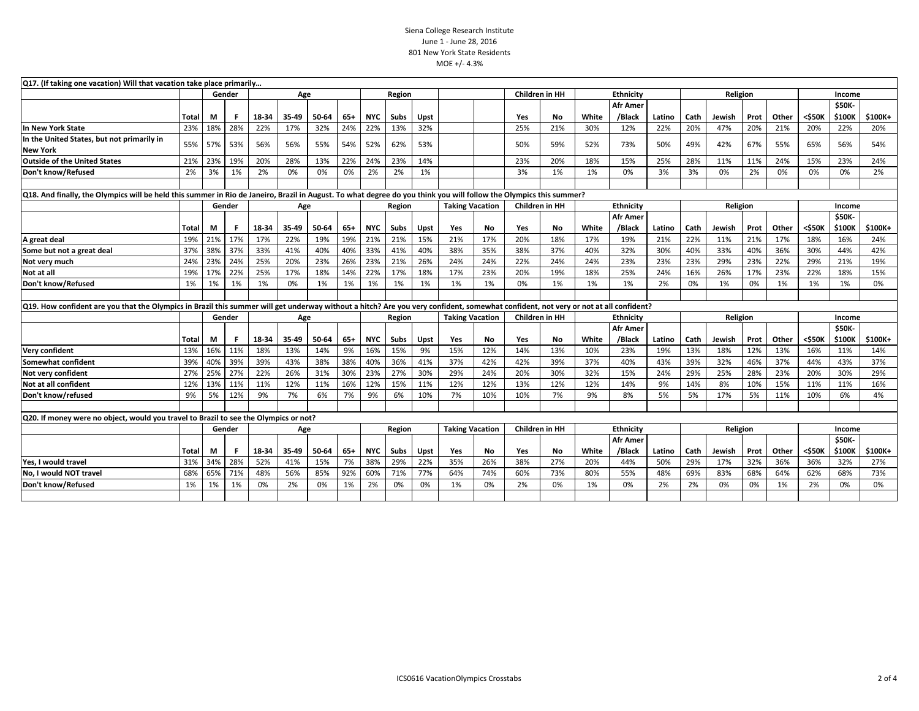## Siena College Research Institute June 1 - June 28, 2016 801 New York State Residents MOE +/- 4.3%

| Q17. (If taking one vacation) Will that vacation take place primarily                                                                                                               |               |     |        |       |        |       |        |                        |        |                       |                        |           |                  |                       |                  |                           |          |          |          |      |        |        |                         |         |
|-------------------------------------------------------------------------------------------------------------------------------------------------------------------------------------|---------------|-----|--------|-------|--------|-------|--------|------------------------|--------|-----------------------|------------------------|-----------|------------------|-----------------------|------------------|---------------------------|----------|----------|----------|------|--------|--------|-------------------------|---------|
|                                                                                                                                                                                     | Gender<br>Age |     |        |       |        |       | Region |                        |        | <b>Children in HH</b> |                        |           | <b>Ethnicity</b> |                       |                  |                           | Religion |          | Income   |      |        |        |                         |         |
|                                                                                                                                                                                     | Total         | М   | F      | 18-34 | 35-49  | 50-64 | 65+    | <b>NYC</b>             | Subs   | Upst                  |                        |           | Yes              | No                    | White            | <b>Afr Amer</b><br>/Black | Latino   | Cath     | Jewish   | Prot | Other  | <\$50K | <b>\$50K-</b><br>\$100K | \$100K+ |
| In New York State                                                                                                                                                                   | 23%           | 18% | 28%    | 22%   | 17%    | 32%   | 24%    | 22%                    | 13%    | 32%                   |                        |           | 25%              | 21%                   | 30%              | 12%                       | 22%      | 20%      | 47%      | 20%  | 21%    | 20%    | 22%                     | 20%     |
| In the United States, but not primarily in<br><b>New York</b>                                                                                                                       | 55%           | 57% | 53%    | 56%   | 56%    | 55%   | 54%    | 52%                    | 62%    | 53%                   |                        |           | 50%              | 59%                   | 52%              | 73%                       | 50%      | 49%      | 42%      | 67%  | 55%    | 65%    | 56%                     | 54%     |
| <b>Outside of the United States</b>                                                                                                                                                 | 21%           | 23% | 19%    | 20%   | 28%    | 13%   | 22%    | 24%                    | 23%    | 14%                   |                        |           | 23%              | 20%                   | 18%              | 15%                       | 25%      | 28%      | 11%      | 11%  | 24%    | 15%    | 23%                     | 24%     |
| Don't know/Refused                                                                                                                                                                  | 2%            | 3%  | 1%     | 2%    | 0%     | 0%    | 0%     | 2%                     | 2%     | 1%                    |                        |           | 3%               | 1%                    | 1%               | 0%                        | 3%       | 3%       | 0%       | 2%   | 0%     | 0%     | 0%                      | 2%      |
|                                                                                                                                                                                     |               |     |        |       |        |       |        |                        |        |                       |                        |           |                  |                       |                  |                           |          |          |          |      |        |        |                         |         |
| Q18. And finally, the Olympics will be held this summer in Rio de Janeiro, Brazil in August. To what degree do you think you will follow the Olympics this summer?                  |               |     |        |       |        |       |        |                        |        |                       |                        |           |                  |                       |                  |                           |          |          |          |      |        |        |                         |         |
|                                                                                                                                                                                     | Gender<br>Age |     |        |       | Region |       |        | <b>Taking Vacation</b> |        | <b>Children in HH</b> |                        | Ethnicity |                  |                       |                  | Religion                  |          | Income   |          |      |        |        |                         |         |
|                                                                                                                                                                                     |               |     |        |       |        |       |        |                        |        |                       |                        |           |                  |                       |                  | <b>Afr Amer</b>           |          |          |          |      |        |        | \$50K-                  |         |
|                                                                                                                                                                                     | Total         | M   | F      | 18-34 | 35-49  | 50-64 | $65+$  | <b>NYC</b>             | Subs   | Upst                  | Yes                    | No.       | Yes              | <b>No</b>             | White            | /Black                    | Latino   | Cath     | Jewish   | Prot | Other  | <\$50K | \$100K                  | \$100K+ |
| A great deal                                                                                                                                                                        | 19%           | 21% | 17%    | 17%   | 22%    | 19%   | 19%    | 21%                    | 21%    | 15%                   | 21%                    | 17%       | 20%              | 18%                   | 17%              | 19%                       | 21%      | 22%      | 11%      | 21%  | 17%    | 18%    | 16%                     | 24%     |
| Some but not a great deal                                                                                                                                                           | 37%           | 38% | 37%    | 33%   | 41%    | 40%   | 40%    | 33%                    | 41%    | 40%                   | 38%                    | 35%       | 38%              | 37%                   | 40%              | 32%                       | 30%      | 40%      | 33%      | 40%  | 36%    | 30%    | 44%                     | 42%     |
| Not very much                                                                                                                                                                       | 24%           | 23% | 24%    | 25%   | 20%    | 23%   | 26%    | 23%                    | 21%    | 26%                   | 24%                    | 24%       | 22%              | 24%                   | 24%              | 23%                       | 23%      | 23%      | 29%      | 23%  | 22%    | 29%    | 21%                     | 19%     |
| Not at all                                                                                                                                                                          | 19%           | 17% | 22%    | 25%   | 17%    | 18%   | 14%    | 22%                    | 17%    | 18%                   | 17%                    | 23%       | 20%              | 19%                   | 18%              | 25%                       | 24%      | 16%      | 26%      | 17%  | 23%    | 22%    | 18%                     | 15%     |
| Don't know/Refused                                                                                                                                                                  | 1%            | 1%  | 1%     | 1%    | 0%     | 1%    | 1%     | 1%                     | 1%     | 1%                    | 1%                     | 1%        | 0%               | 1%                    | 1%               | 1%                        | 2%       | 0%       | 1%       | 0%   | 1%     | 1%     | 1%                      | 0%      |
|                                                                                                                                                                                     |               |     |        |       |        |       |        |                        |        |                       |                        |           |                  |                       |                  |                           |          |          |          |      |        |        |                         |         |
| Q19. How confident are you that the Olympics in Brazil this summer will get underway without a hitch? Are you very confident, somewhat confident, not very or not at all confident? |               |     |        |       |        |       |        |                        |        |                       |                        |           |                  |                       |                  |                           |          |          |          |      |        |        |                         |         |
|                                                                                                                                                                                     |               |     | Gender |       | Age    |       |        |                        | Region |                       | <b>Taking Vacation</b> |           |                  | <b>Children in HH</b> | <b>Ethnicity</b> |                           |          | Religion |          |      |        | Income |                         |         |
|                                                                                                                                                                                     | Total         | М   | F      | 18-34 | 35-49  | 50-64 | $65+$  | <b>NYC</b>             | Subs   | Upst                  | Yes                    | No.       | Yes              | <b>No</b>             | White            | <b>Afr Amer</b><br>/Black | Latino   | Cath     | Jewish   | Prot | Other  | <\$50K | \$50K-<br>\$100K        | \$100K+ |
| <b>Very confident</b>                                                                                                                                                               | 13%           | 16% | 11%    | 18%   | 13%    | 14%   | 9%     | 16%                    | 15%    | 9%                    | 15%                    | 12%       | 14%              | 13%                   | 10%              | 23%                       | 19%      | 13%      | 18%      | 12%  | 13%    | 16%    | 11%                     | 14%     |
| Somewhat confident                                                                                                                                                                  | 39%           | 40% | 39%    | 39%   | 43%    | 38%   | 38%    | 40%                    | 36%    | 41%                   | 37%                    | 42%       | 42%              | 39%                   | 37%              | 40%                       | 43%      | 39%      | 32%      | 46%  | 37%    | 44%    | 43%                     | 37%     |
| Not very confident                                                                                                                                                                  | 27%           | 25% | 27%    | 22%   | 26%    | 31%   | 30%    | 23%                    | 27%    | 30%                   | 29%                    | 24%       | 20%              | 30%                   | 32%              | 15%                       | 24%      | 29%      | 25%      | 28%  | 23%    | 20%    | 30%                     | 29%     |
| Not at all confident                                                                                                                                                                | 12%           | 13% | 11%    | 11%   | 12%    | 11%   | 16%    | 12%                    | 15%    | 11%                   | 12%                    | 12%       | 13%              | 12%                   | 12%              | 14%                       | 9%       | 14%      | 8%       | 10%  | 15%    | 11%    | 11%                     | 16%     |
| Don't know/refused                                                                                                                                                                  | 9%            | 5%  | 12%    | 9%    | 7%     | 6%    | 7%     | 9%                     | 6%     | 10%                   | 7%                     | 10%       | 10%              | 7%                    | 9%               | 8%                        | 5%       | 5%       | 17%      | 5%   | 11%    | 10%    | 6%                      | 4%      |
|                                                                                                                                                                                     |               |     |        |       |        |       |        |                        |        |                       |                        |           |                  |                       |                  |                           |          |          |          |      |        |        |                         |         |
| Q20. If money were no object, would you travel to Brazil to see the Olympics or not?                                                                                                |               |     |        |       |        |       |        |                        |        |                       |                        |           |                  |                       |                  |                           |          |          |          |      |        |        |                         |         |
|                                                                                                                                                                                     |               |     | Gender |       | Age    |       |        |                        | Region |                       | <b>Taking Vacation</b> |           |                  | <b>Children in HH</b> |                  | Ethnicity                 |          |          | Religion |      | Income |        |                         |         |
|                                                                                                                                                                                     |               |     |        |       |        |       |        |                        |        |                       |                        |           |                  |                       |                  | <b>Afr Amer</b>           |          |          |          |      |        |        | \$50K-                  |         |
|                                                                                                                                                                                     | Total         | М   | -F     | 18-34 | 35-49  | 50-64 | $65+$  | <b>NYC</b>             | Subs   | Upst                  | Yes                    | No.       | Yes              | No                    | White            | /Black                    | Latino   | Cath     | Jewish   | Prot | Other  | <\$50K | \$100K                  | \$100K+ |
| Yes, I would travel                                                                                                                                                                 | 31%           | 34% | 28%    | 52%   | 41%    | 15%   | 7%     | 38%                    | 29%    | 22%                   | 35%                    | 26%       | 38%              | 27%                   | 20%              | 44%                       | 50%      | 29%      | 17%      | 32%  | 36%    | 36%    | 32%                     | 27%     |
| No, I would NOT travel                                                                                                                                                              | 68%           | 65% | 71%    | 48%   | 56%    | 85%   | 92%    | 60%                    | 71%    | 77%                   | 64%                    | 74%       | 60%              | 73%                   | 80%              | 55%                       | 48%      | 69%      | 83%      | 68%  | 64%    | 62%    | 68%                     | 73%     |
| Don't know/Refused                                                                                                                                                                  | 1%            | 1%  | 1%     | 0%    | 2%     | 0%    | 1%     | 2%                     | 0%     | 0%                    | 1%                     | 0%        | 2%               | 0%                    | 1%               | 0%                        | 2%       | 2%       | 0%       | 0%   | 1%     | 2%     | 0%                      | 0%      |
|                                                                                                                                                                                     |               |     |        |       |        |       |        |                        |        |                       |                        |           |                  |                       |                  |                           |          |          |          |      |        |        |                         |         |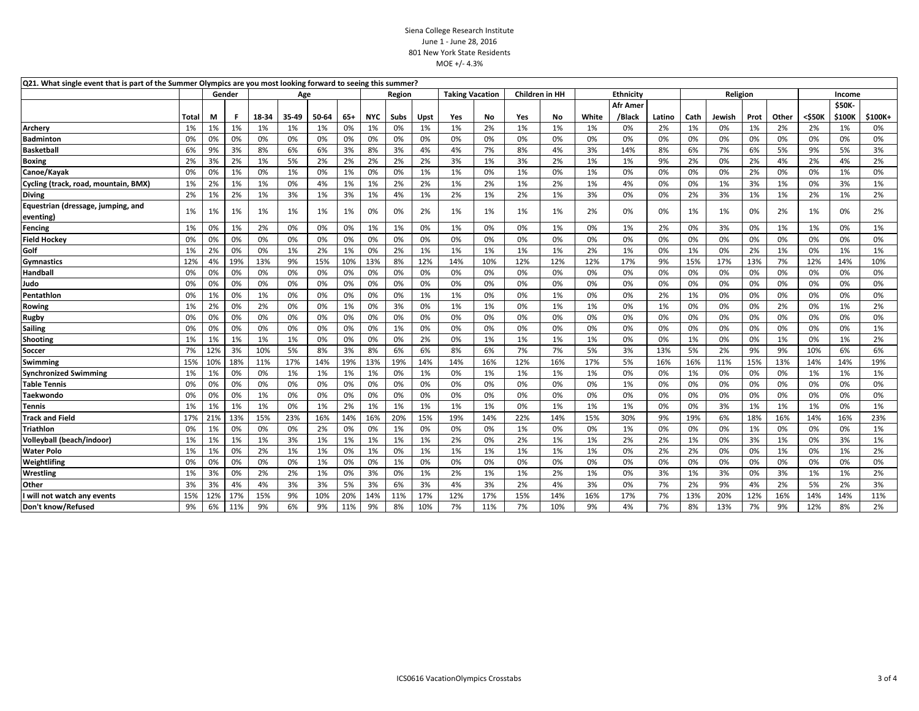## Siena College Research Institute June 1 - June 28, 2016 801 New York State Residents MOE +/- 4.3%

| Q21. What single event that is part of the Summer Olympics are you most looking forward to seeing this summer? |               |     |     |       |       |       |                                  |            |      |      |     |     |                |                  |       |                 |        |          |        |        |       |        |        |         |
|----------------------------------------------------------------------------------------------------------------|---------------|-----|-----|-------|-------|-------|----------------------------------|------------|------|------|-----|-----|----------------|------------------|-------|-----------------|--------|----------|--------|--------|-------|--------|--------|---------|
|                                                                                                                | Gender<br>Age |     |     |       |       |       | <b>Taking Vacation</b><br>Region |            |      |      |     |     | Children in HH | <b>Ethnicity</b> |       |                 |        | Religion |        | Income |       |        |        |         |
|                                                                                                                |               |     |     |       |       |       |                                  |            |      |      |     |     |                |                  |       | <b>Afr Amer</b> |        |          |        |        |       |        | \$50K- |         |
|                                                                                                                | Total         | М   | F.  | 18-34 | 35-49 | 50-64 | $65+$                            | <b>NYC</b> | Subs | Upst | Yes | No  | Yes            | No               | White | /Black          | Latino | Cath     | Jewish | Prot   | Other | <\$50K | \$100K | \$100K+ |
| Archery                                                                                                        | 1%            | 1%  | 1%  | 1%    | 1%    | 1%    | 0%                               | 1%         | 0%   | 1%   | 1%  | 2%  | 1%             | 1%               | 1%    | 0%              | 2%     | 1%       | 0%     | 1%     | 2%    | 2%     | 1%     | 0%      |
| <b>Badminton</b>                                                                                               | 0%            | 0%  | 0%  | 0%    | 0%    | 0%    | 0%                               | 0%         | 0%   | 0%   | 0%  | 0%  | 0%             | 0%               | 0%    | 0%              | 0%     | 0%       | 0%     | 0%     | 0%    | 0%     | 0%     | 0%      |
| <b>Basketball</b>                                                                                              | 6%            | 9%  | 3%  | 8%    | 6%    | 6%    | 3%                               | 8%         | 3%   | 4%   | 4%  | 7%  | 8%             | 4%               | 3%    | 14%             | 8%     | 6%       | 7%     | 6%     | 5%    | 9%     | 5%     | 3%      |
| <b>Boxing</b>                                                                                                  | 2%            | 3%  | 2%  | 1%    | 5%    | 2%    | 2%                               | 2%         | 2%   | 2%   | 3%  | 1%  | 3%             | 2%               | 1%    | 1%              | 9%     | 2%       | 0%     | 2%     | 4%    | 2%     | 4%     | 2%      |
| Canoe/Kayak                                                                                                    | 0%            | 0%  | 1%  | 0%    | 1%    | 0%    | 1%                               | 0%         | 0%   | 1%   | 1%  | 0%  | 1%             | 0%               | 1%    | 0%              | 0%     | 0%       | 0%     | 2%     | 0%    | 0%     | 1%     | 0%      |
| Cycling (track, road, mountain, BMX)                                                                           | 1%            | 2%  | 1%  | 1%    | 0%    | 4%    | 1%                               | 1%         | 2%   | 2%   | 1%  | 2%  | 1%             | 2%               | 1%    | 4%              | 0%     | 0%       | 1%     | 3%     | 1%    | 0%     | 3%     | 1%      |
| <b>Diving</b>                                                                                                  | 2%            | 1%  | 2%  | 1%    | 3%    | 1%    | 3%                               | 1%         | 4%   | 1%   | 2%  | 1%  | 2%             | 1%               | 3%    | 0%              | 0%     | 2%       | 3%     | 1%     | 1%    | 2%     | 1%     | 2%      |
| Equestrian (dressage, jumping, and                                                                             | 1%            | 1%  | 1%  | 1%    | 1%    | 1%    | 1%                               | 0%         | 0%   | 2%   | 1%  | 1%  | 1%             | 1%               | 2%    | 0%              | 0%     | 1%       | 1%     | 0%     | 2%    | 1%     | 0%     | 2%      |
| eventing)                                                                                                      |               |     |     |       |       |       |                                  |            |      |      |     |     |                |                  |       |                 |        |          |        |        |       |        |        |         |
| Fencing                                                                                                        | 1%            | 0%  | 1%  | 2%    | 0%    | 0%    | 0%                               | 1%         | 1%   | 0%   | 1%  | 0%  | 0%             | 1%               | 0%    | 1%              | 2%     | 0%       | 3%     | 0%     | 1%    | 1%     | 0%     | 1%      |
| <b>Field Hockey</b>                                                                                            | 0%            | 0%  | 0%  | 0%    | 0%    | 0%    | 0%                               | 0%         | 0%   | 0%   | 0%  | 0%  | 0%             | 0%               | 0%    | 0%              | 0%     | 0%       | 0%     | 0%     | 0%    | 0%     | 0%     | 0%      |
| Golf                                                                                                           | 1%            | 2%  | 0%  | 0%    | 1%    | 2%    | 1%                               | 0%         | 2%   | 1%   | 1%  | 1%  | 1%             | 1%               | 2%    | 1%              | 0%     | 1%       | 0%     | 2%     | 1%    | 0%     | 1%     | 1%      |
| <b>Gymnastics</b>                                                                                              | 12%           | 4%  | 19% | 13%   | 9%    | 15%   | 10%                              | 13%        | 8%   | 12%  | 14% | 10% | 12%            | 12%              | 12%   | 17%             | 9%     | 15%      | 17%    | 13%    | 7%    | 12%    | 14%    | 10%     |
| Handball                                                                                                       | 0%            | 0%  | 0%  | 0%    | 0%    | 0%    | 0%                               | 0%         | 0%   | 0%   | 0%  | 0%  | 0%             | 0%               | 0%    | 0%              | 0%     | 0%       | 0%     | 0%     | 0%    | 0%     | 0%     | 0%      |
| Judo                                                                                                           | 0%            | 0%  | 0%  | 0%    | 0%    | 0%    | 0%                               | 0%         | 0%   | 0%   | 0%  | 0%  | 0%             | 0%               | 0%    | 0%              | 0%     | 0%       | 0%     | 0%     | 0%    | 0%     | 0%     | 0%      |
| Pentathlon                                                                                                     | 0%            | 1%  | 0%  | 1%    | 0%    | 0%    | 0%                               | 0%         | 0%   | 1%   | 1%  | 0%  | 0%             | 1%               | 0%    | 0%              | 2%     | 1%       | 0%     | 0%     | 0%    | 0%     | 0%     | 0%      |
| Rowing                                                                                                         | 1%            | 2%  | 0%  | 2%    | 0%    | 0%    | 1%                               | 0%         | 3%   | 0%   | 1%  | 1%  | 0%             | 1%               | 1%    | 0%              | 1%     | 0%       | 0%     | 0%     | 2%    | 0%     | 1%     | 2%      |
| Rugby                                                                                                          | 0%            | 0%  | 0%  | 0%    | 0%    | 0%    | 0%                               | 0%         | 0%   | 0%   | 0%  | 0%  | 0%             | 0%               | 0%    | 0%              | 0%     | 0%       | 0%     | 0%     | 0%    | 0%     | 0%     | 0%      |
| <b>Sailing</b>                                                                                                 | 0%            | 0%  | 0%  | 0%    | 0%    | 0%    | 0%                               | 0%         | 1%   | 0%   | 0%  | 0%  | 0%             | 0%               | 0%    | 0%              | 0%     | 0%       | 0%     | 0%     | 0%    | 0%     | 0%     | 1%      |
| Shooting                                                                                                       | 1%            | 1%  | 1%  | 1%    | 1%    | 0%    | 0%                               | 0%         | 0%   | 2%   | 0%  | 1%  | 1%             | 1%               | 1%    | 0%              | 0%     | 1%       | 0%     | 0%     | 1%    | 0%     | 1%     | 2%      |
| Soccer                                                                                                         | 7%            | 12% | 3%  | 10%   | 5%    | 8%    | 3%                               | 8%         | 6%   | 6%   | 8%  | 6%  | 7%             | 7%               | 5%    | 3%              | 13%    | 5%       | 2%     | 9%     | 9%    | 10%    | 6%     | 6%      |
| Swimming                                                                                                       | 15%           | 10% | 18% | 11%   | 17%   | 14%   | 19%                              | 13%        | 19%  | 14%  | 14% | 16% | 12%            | 16%              | 17%   | 5%              | 16%    | 16%      | 11%    | 15%    | 13%   | 14%    | 14%    | 19%     |
| <b>Synchronized Swimming</b>                                                                                   | 1%            | 1%  | 0%  | 0%    | 1%    | 1%    | 1%                               | 1%         | 0%   | 1%   | 0%  | 1%  | 1%             | 1%               | 1%    | 0%              | 0%     | 1%       | 0%     | 0%     | 0%    | 1%     | 1%     | 1%      |
| <b>Table Tennis</b>                                                                                            | 0%            | 0%  | 0%  | 0%    | 0%    | 0%    | 0%                               | 0%         | 0%   | 0%   | 0%  | 0%  | 0%             | 0%               | 0%    | 1%              | 0%     | 0%       | 0%     | 0%     | 0%    | 0%     | 0%     | 0%      |
| Taekwondo                                                                                                      | 0%            | 0%  | 0%  | 1%    | 0%    | 0%    | 0%                               | 0%         | 0%   | 0%   | 0%  | 0%  | 0%             | 0%               | 0%    | 0%              | 0%     | 0%       | 0%     | 0%     | 0%    | 0%     | 0%     | 0%      |
| Tennis                                                                                                         | 1%            | 1%  | 1%  | 1%    | 0%    | 1%    | 2%                               | 1%         | 1%   | 1%   | 1%  | 1%  | 0%             | 1%               | 1%    | 1%              | 0%     | 0%       | 3%     | 1%     | 1%    | 1%     | 0%     | 1%      |
| <b>Track and Field</b>                                                                                         | 17%           | 21% | 13% | 15%   | 23%   | 16%   | 14%                              | 16%        | 20%  | 15%  | 19% | 14% | 22%            | 14%              | 15%   | 30%             | 9%     | 19%      | 6%     | 18%    | 16%   | 14%    | 16%    | 23%     |
| Triathlon                                                                                                      | 0%            | 1%  | 0%  | 0%    | 0%    | 2%    | 0%                               | 0%         | 1%   | 0%   | 0%  | 0%  | 1%             | 0%               | 0%    | 1%              | 0%     | 0%       | 0%     | 1%     | 0%    | 0%     | 0%     | 1%      |
| Volleyball (beach/indoor)                                                                                      | 1%            | 1%  | 1%  | 1%    | 3%    | 1%    | 1%                               | 1%         | 1%   | 1%   | 2%  | 0%  | 2%             | 1%               | 1%    | 2%              | 2%     | 1%       | 0%     | 3%     | 1%    | 0%     | 3%     | 1%      |
| <b>Water Polo</b>                                                                                              | 1%            | 1%  | 0%  | 2%    | 1%    | 1%    | 0%                               | 1%         | 0%   | 1%   | 1%  | 1%  | 1%             | 1%               | 1%    | 0%              | 2%     | 2%       | 0%     | 0%     | 1%    | 0%     | 1%     | 2%      |
| Weightlifing                                                                                                   | 0%            | 0%  | 0%  | 0%    | 0%    | 1%    | 0%                               | 0%         | 1%   | 0%   | 0%  | 0%  | 0%             | 0%               | 0%    | 0%              | 0%     | 0%       | 0%     | 0%     | 0%    | 0%     | 0%     | 0%      |
| Wrestling                                                                                                      | 1%            | 3%  | 0%  | 2%    | 2%    | 1%    | 0%                               | 3%         | 0%   | 1%   | 2%  | 1%  | 1%             | 2%               | 1%    | 0%              | 3%     | 1%       | 3%     | 0%     | 3%    | 1%     | 1%     | 2%      |
| Other                                                                                                          | 3%            | 3%  | 4%  | 4%    | 3%    | 3%    | 5%                               | 3%         | 6%   | 3%   | 4%  | 3%  | 2%             | 4%               | 3%    | 0%              | 7%     | 2%       | 9%     | 4%     | 2%    | 5%     | 2%     | 3%      |
| I will not watch any events                                                                                    | 15%           | 12% | 17% | 15%   | 9%    | 10%   | 20%                              | 14%        | 11%  | 17%  | 12% | 17% | 15%            | 14%              | 16%   | 17%             | 7%     | 13%      | 20%    | 12%    | 16%   | 14%    | 14%    | 11%     |
| Don't know/Refused                                                                                             | 9%            | 6%  | 11% | 9%    | 6%    | 9%    | 11%                              | 9%         | 8%   | 10%  | 7%  | 11% | 7%             | 10%              | 9%    | 4%              | 7%     | 8%       | 13%    | 7%     | 9%    | 12%    | 8%     | 2%      |